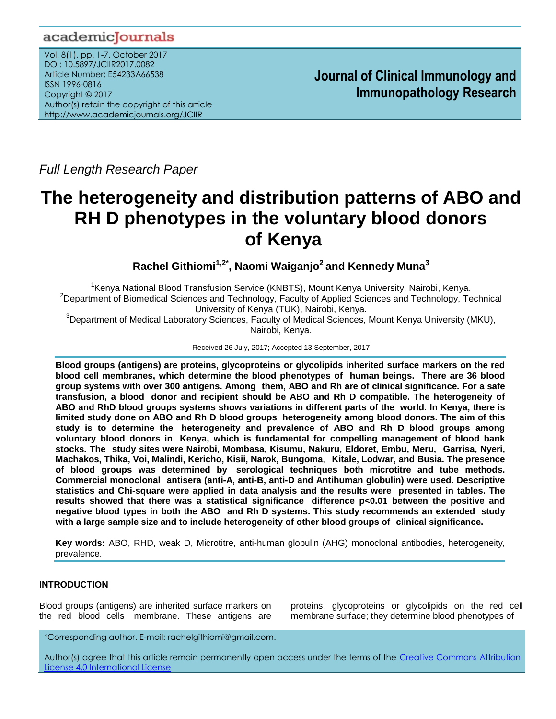## academicJournals

Vol. 8(1), pp. 1-7, October 2017 DOI: 10.5897/JCIIR2017.0082 Article Number: E54233A66538 ISSN 1996-0816 Copyright © 2017 Author(s) retain the copyright of this article http://www.academicjournals.org/JCIIR

**Journal of Clinical Immunology and Immunopathology Research**

*Full Length Research Paper*

# **The heterogeneity and distribution patterns of ABO and RH D phenotypes in the voluntary blood donors of Kenya**

**Rachel Githiomi1,2\* , Naomi Waiganjo<sup>2</sup>and Kennedy Muna<sup>3</sup>**

<sup>1</sup>Kenya National Blood Transfusion Service (KNBTS), Mount Kenya University, Nairobi, Kenya. <sup>2</sup>Department of Biomedical Sciences and Technology, Faculty of Applied Sciences and Technology, Technical University of Kenya (TUK), Nairobi, Kenya.

<sup>3</sup>Department of Medical Laboratory Sciences, Faculty of Medical Sciences, Mount Kenya University (MKU), Nairobi, Kenya.

Received 26 July, 2017; Accepted 13 September, 2017

**Blood groups (antigens) are proteins, glycoproteins or glycolipids inherited surface markers on the red blood cell membranes, which determine the blood phenotypes of human beings. There are 36 blood group systems with over 300 antigens. Among them, ABO and Rh are of clinical significance. For a safe transfusion, a blood donor and recipient should be ABO and Rh D compatible. The heterogeneity of ABO and RhD blood groups systems shows variations in different parts of the world. In Kenya, there is limited study done on ABO and Rh D blood groups heterogeneity among blood donors. The aim of this study is to determine the heterogeneity and prevalence of ABO and Rh D blood groups among voluntary blood donors in Kenya, which is fundamental for compelling management of blood bank stocks. The study sites were Nairobi, Mombasa, Kisumu, Nakuru, Eldoret, Embu, Meru, Garrisa, Nyeri, Machakos, Thika, Voi, Malindi, Kericho, Kisii, Narok, Bungoma, Kitale, Lodwar, and Busia. The presence of blood groups was determined by serological techniques both microtitre and tube methods. Commercial monoclonal antisera (anti-A, anti-B, anti-D and Antihuman globulin) were used. Descriptive statistics and Chi-square were applied in data analysis and the results were presented in tables. The results showed that there was a statistical significance difference p<0.01 between the positive and negative blood types in both the ABO and Rh D systems. This study recommends an extended study with a large sample size and to include heterogeneity of other blood groups of clinical significance.**

**Key words:** ABO, RHD, weak D, Microtitre, anti-human globulin (AHG) monoclonal antibodies, heterogeneity, prevalence.

## **INTRODUCTION**

Blood groups (antigens) are inherited surface markers on the red blood cells membrane. These antigens are proteins, glycoproteins or glycolipids on the red cell membrane surface; they determine blood phenotypes of

\*Corresponding author. E-mail: rachelgithiomi@gmail.com.

Author(s) agree that this article remain permanently open access under the terms of the Creative Commons Attribution [License 4.0 International License](http://creativecommons.org/licenses/by/4.0/deed.en_US)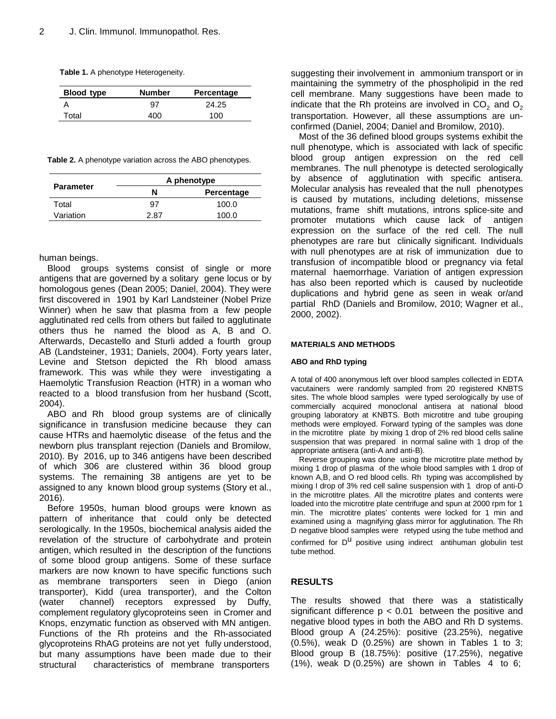| Table 1. A phenotype Heterogeneity. |  |
|-------------------------------------|--|
|-------------------------------------|--|

| <b>Blood type</b> | <b>Number</b> | Percentage |
|-------------------|---------------|------------|
|                   | 97            | 24.25      |
| Total             | 400           | 100        |

**Table 2.** A phenotype variation across the ABO phenotypes.

| <b>Parameter</b> | A phenotype     |       |  |
|------------------|-----------------|-------|--|
|                  | N<br>Percentage |       |  |
| Total            | 97              | 100.0 |  |
| Variation        | 2 R7            | 100.0 |  |

human beings.

Blood groups systems consist of single or more antigens that are governed by a solitary gene locus or by homologous genes (Dean 2005; Daniel, 2004). They were first discovered in 1901 by Karl Landsteiner (Nobel Prize Winner) when he saw that plasma from a few people agglutinated red cells from others but failed to agglutinate others thus he named the blood as A, B and O. Afterwards, Decastello and Sturli added a fourth group AB (Landsteiner, 1931; Daniels, 2004). Forty years later, Levine and Stetson depicted the Rh blood amass framework. This was while they were investigating a Haemolytic Transfusion Reaction (HTR) in a woman who reacted to a blood transfusion from her husband (Scott, 2004).

ABO and Rh blood group systems are of clinically significance in transfusion medicine because they can cause HTRs and haemolytic disease of the fetus and the newborn plus transplant rejection (Daniels and Bromilow, 2010). By 2016, up to 346 antigens have been described of which 306 are clustered within 36 blood group systems. The remaining 38 antigens are yet to be assigned to any known blood group systems (Story et al., 2016).

Before 1950s, human blood groups were known as pattern of inheritance that could only be detected serologically. In the 1950s, biochemical analysis aided the revelation of the structure of carbohydrate and protein antigen, which resulted in the description of the functions of some blood group antigens. Some of these surface markers are now known to have specific functions such as membrane transporters seen in Diego (anion transporter), Kidd (urea transporter), and the Colton (water channel) receptors expressed by Duffy, complement regulatory glycoproteins seen in Cromer and Knops, enzymatic function as observed with MN antigen. Functions of the Rh proteins and the Rh-associated glycoproteins RhAG proteins are not yet fully understood, but many assumptions have been made due to their structural characteristics of membrane transporters

suggesting their involvement in ammonium transport or in maintaining the symmetry of the phospholipid in the red cell membrane. Many suggestions have been made to indicate that the Rh proteins are involved in  $CO<sub>2</sub>$  and  $O<sub>2</sub>$ transportation. However, all these assumptions are unconfirmed (Daniel, 2004; Daniel and Bromilow, 2010).

Most of the 36 defined blood groups systems exhibit the null phenotype, which is associated with lack of specific blood group antigen expression on the red cell membranes. The null phenotype is detected serologically by absence of agglutination with specific antisera. Molecular analysis has revealed that the null phenotypes is caused by mutations, including deletions, missense mutations, frame shift mutations, introns splice-site and promoter mutations which cause lack of antigen expression on the surface of the red cell. The null phenotypes are rare but clinically significant. Individuals with null phenotypes are at risk of immunization due to transfusion of incompatible blood or pregnancy via fetal maternal haemorrhage. Variation of antigen expression has also been reported which is caused by nucleotide duplications and hybrid gene as seen in weak or/and partial RhD (Daniels and Bromilow, 2010; Wagner et al., 2000, 2002).

#### **MATERIALS AND METHODS**

#### **ABO and RhD typing**

A total of 400 anonymous left over blood samples collected in EDTA vacutainers were randomly sampled from 20 registered KNBTS sites. The whole blood samples were typed serologically by use of commercially acquired monoclonal antisera at national blood grouping laboratory at KNBTS. Both microtitre and tube grouping methods were employed. Forward typing of the samples was done in the microtitre plate by mixing 1 drop of 2% red blood cells saline suspension that was prepared in normal saline with 1 drop of the appropriate antisera (anti-A and anti-B).

Reverse grouping was done using the microtitre plate method by mixing 1 drop of plasma of the whole blood samples with 1 drop of known A,B, and O red blood cells. Rh typing was accomplished by mixing I drop of 3% red cell saline suspension with 1 drop of anti-D in the microtitre plates. All the microtitre plates and contents were loaded into the microtitre plate centrifuge and spun at 2000 rpm for 1 min. The microtitre plates' contents were locked for 1 min and examined using a magnifying glass mirror for agglutination. The Rh D negative blood samples were retyped using the tube method and confirmed for  $D^{U}$  positive using indirect antihuman globulin test tube method.

## **RESULTS**

The results showed that there was a statistically significant difference  $p < 0.01$  between the positive and negative blood types in both the ABO and Rh D systems. Blood group A (24.25%): positive (23.25%), negative (0.5%), weak D (0.25%) are shown in Tables 1 to 3; Blood group B (18.75%): positive (17.25%), negative  $(1\%)$ , weak D  $(0.25\%)$  are shown in Tables 4 to 6;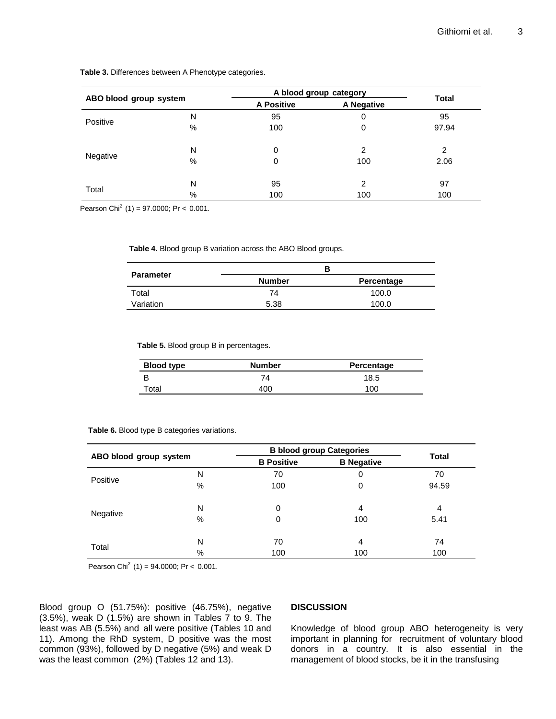|                        |   | A blood group category |            |                |
|------------------------|---|------------------------|------------|----------------|
| ABO blood group system |   | <b>A Positive</b>      | A Negative | <b>Total</b>   |
| Positive               | N | 95                     | 0          | 95             |
|                        | % | 100                    | 0          | 97.94          |
|                        | N | 0                      | 2          | $\mathfrak{p}$ |
| Negative               | % | 0                      | 100        | 2.06           |
| Total                  | N | 95                     | 2          | 97             |
|                        | % | 100                    | 100        | 100            |

**Table 3.** Differences between A Phenotype categories.

Pearson Chi<sup>2</sup> (1) = 97.0000; Pr < 0.001.

**Table 4.** Blood group B variation across the ABO Blood groups.

|                  |                             | в     |
|------------------|-----------------------------|-------|
| <b>Parameter</b> | <b>Number</b><br>Percentage |       |
| Total            | 74                          | 100.0 |
| Variation        | 5.38                        | 100.0 |

**Table 5.** Blood group B in percentages.

| <b>Blood type</b> | <b>Number</b> | Percentage |
|-------------------|---------------|------------|
| В                 | 74            | 18.5       |
| Total             | 400           | 100        |

**Table 6.** Blood type B categories variations.

| ABO blood group system |           | <b>B blood group Categories</b> |                   | <b>Total</b> |
|------------------------|-----------|---------------------------------|-------------------|--------------|
|                        |           | <b>B</b> Positive               | <b>B</b> Negative |              |
|                        | N         | 70                              | 0                 | 70           |
| Positive               | %         | 100                             | 0                 | 94.59        |
| Negative               | N<br>$\%$ | $\Omega$<br>0                   | 4<br>100          | 4<br>5.41    |
| Total                  | N<br>%    | 70<br>100                       | 4<br>100          | 74<br>100    |

Pearson Chi<sup>2</sup> (1) = 94.0000; Pr < 0.001.

Blood group O (51.75%): positive (46.75%), negative (3.5%), weak D (1.5%) are shown in Tables 7 to 9. The least was AB (5.5%) and all were positive (Tables 10 and 11). Among the RhD system, D positive was the most common (93%), followed by D negative (5%) and weak D was the least common (2%) (Tables 12 and 13).

### **DISCUSSION**

Knowledge of blood group ABO heterogeneity is very important in planning for recruitment of voluntary blood donors in a country. It is also essential in the management of blood stocks, be it in the transfusing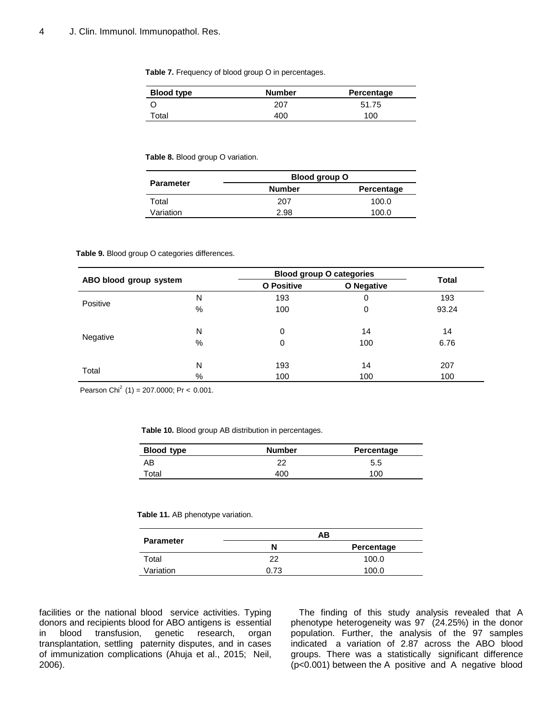**Table 7.** Frequency of blood group O in percentages.

| <b>Blood type</b> | <b>Number</b> | Percentage |
|-------------------|---------------|------------|
|                   | 207           | 51.75      |
| Total             | 400           | 100        |

**Table 8.** Blood group O variation.

|                  | Blood group O               |       |  |
|------------------|-----------------------------|-------|--|
| <b>Parameter</b> | <b>Number</b><br>Percentage |       |  |
| Total            | 207                         | 100.0 |  |
| Variation        | 2.98                        | 100.0 |  |

#### **Table 9.** Blood group O categories differences.

|                        |   | <b>Blood group O categories</b> |            |              |
|------------------------|---|---------------------------------|------------|--------------|
| ABO blood group system |   | <b>O</b> Positive               | O Negative | <b>Total</b> |
|                        | N | 193                             | 0          | 193          |
| Positive               | % | 100                             | 0          | 93.24        |
|                        | N | 0                               | 14         | 14           |
| Negative               | % | 0                               | 100        | 6.76         |
|                        | N | 193                             | 14         | 207          |
| Total                  | % | 100                             | 100        | 100          |

Pearson Chi<sup>2</sup> (1) = 207.0000; Pr < 0.001.

**Table 10.** Blood group AB distribution in percentages.

| <b>Blood type</b> | <b>Number</b> | Percentage |
|-------------------|---------------|------------|
| AB                | າາ            | 5.5        |
| Total             | 400           | 100        |

**Table 11.** AB phenotype variation.

|                  |                 | AΒ    |
|------------------|-----------------|-------|
| <b>Parameter</b> | Percentage<br>N |       |
| Total            | つつ              | 100.0 |
| Variation        | 0.73            | 100.0 |

facilities or the national blood service activities. Typing donors and recipients blood for ABO antigens is essential in blood transfusion, genetic research, organ transplantation, settling paternity disputes, and in cases of immunization complications (Ahuja et al., 2015; Neil, 2006).

The finding of this study analysis revealed that A phenotype heterogeneity was 97 (24.25%) in the donor population. Further, the analysis of the 97 samples indicated a variation of 2.87 across the ABO blood groups. There was a statistically significant difference (p<0.001) between the A positive and A negative blood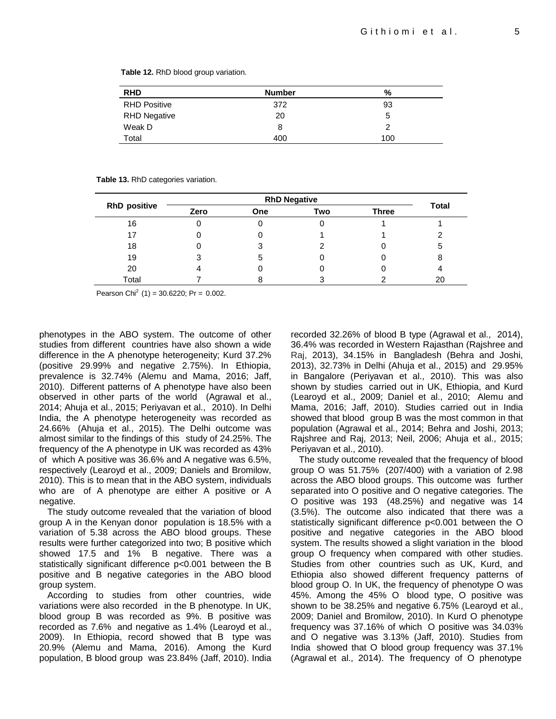| <b>RHD</b>          | <b>Number</b> | %   |  |
|---------------------|---------------|-----|--|
| <b>RHD Positive</b> | 372           | 93  |  |
| <b>RHD Negative</b> | 20            | 5   |  |
| Weak D              | 8             |     |  |
| Total               | 400           | 100 |  |

**Table 12.** RhD blood group variation.

#### **Table 13.** RhD categories variation.

| <b>RhD positive</b> | <b>RhD Negative</b> |            |     |              |       |
|---------------------|---------------------|------------|-----|--------------|-------|
|                     | Zero                | <b>One</b> | Two | <b>Three</b> | Total |
| 16                  |                     |            |     |              |       |
| 17                  |                     |            |     |              |       |
| 18                  |                     |            |     |              | 5     |
| 19                  | ว                   | 5          |     |              | 8     |
| 20                  | 4                   |            |     |              |       |
| Total               |                     |            |     |              | 20    |

Pearson Chi<sup>2</sup> (1) = 30.6220; Pr = 0.002.

phenotypes in the ABO system. The outcome of other studies from different countries have also shown a wide difference in the A phenotype heterogeneity; Kurd 37.2% (positive 29.99% and negative 2.75%). In Ethiopia, prevalence is 32.74% (Alemu and Mama, 2016; Jaff, 2010). Different patterns of A phenotype have also been observed in other parts of the world (Agrawal et al., 2014; Ahuja et al., 2015; Periyavan et al., 2010). In Delhi India, the A phenotype heterogeneity was recorded as 24.66% (Ahuja et al., 2015). The Delhi outcome was almost similar to the findings of this study of 24.25%. The frequency of the A phenotype in UK was recorded as 43% of which A positive was 36.6% and A negative was 6.5%, respectively (Learoyd et al., 2009; Daniels and Bromilow, 2010). This is to mean that in the ABO system, individuals who are of A phenotype are either A positive or A negative.

The study outcome revealed that the variation of blood group A in the Kenyan donor population is 18.5% with a variation of 5.38 across the ABO blood groups. These results were further categorized into two; B positive which showed 17.5 and 1% B negative. There was a statistically significant difference p<0.001 between the B positive and B negative categories in the ABO blood group system.

According to studies from other countries, wide variations were also recorded in the B phenotype. In UK, blood group B was recorded as 9%. B positive was recorded as 7.6% and negative as 1.4% (Learoyd et al., 2009). In Ethiopia, record showed that B type was 20.9% (Alemu and Mama, 2016). Among the Kurd population, B blood group was 23.84% (Jaff, 2010). India recorded 32.26% of blood B type (Agrawal et al., 2014), 36.4% was recorded in Western Rajasthan (Rajshree and Raj, 2013), 34.15% in Bangladesh (Behra and Joshi, 2013), 32.73% in Delhi (Ahuja et al., 2015) and 29.95% in Bangalore (Periyavan et al., 2010). This was also shown by studies carried out in UK, Ethiopia, and Kurd (Learoyd et al., 2009; Daniel et al., 2010; Alemu and Mama, 2016; Jaff, 2010). Studies carried out in India showed that blood group B was the most common in that population (Agrawal et al., 2014; Behra and Joshi, 2013; Rajshree and Raj, 2013; Neil, 2006; Ahuja et al., 2015; Periyavan et al., 2010).

The study outcome revealed that the frequency of blood group O was 51.75% (207/400) with a variation of 2.98 across the ABO blood groups. This outcome was further separated into O positive and O negative categories. The O positive was 193 (48.25%) and negative was 14 (3.5%). The outcome also indicated that there was a statistically significant difference p<0.001 between the O positive and negative categories in the ABO blood system. The results showed a slight variation in the blood group O frequency when compared with other studies. Studies from other countries such as UK, Kurd, and Ethiopia also showed different frequency patterns of blood group O. In UK, the frequency of phenotype O was 45%. Among the 45% O blood type, O positive was shown to be 38.25% and negative 6.75% (Learoyd et al., 2009; Daniel and Bromilow, 2010). In Kurd O phenotype frequency was 37.16% of which O positive was 34.03% and O negative was 3.13% (Jaff, 2010). Studies from India showed that O blood group frequency was 37.1% (Agrawal et al., 2014). The frequency of O phenotype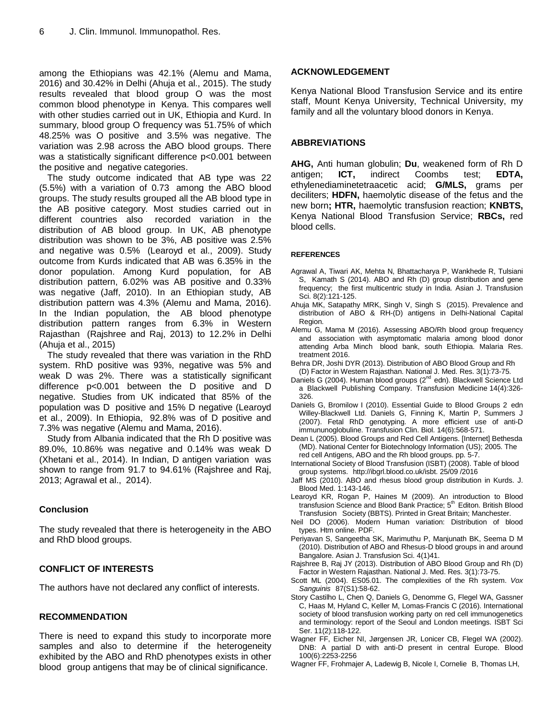among the Ethiopians was 42.1% (Alemu and Mama, 2016) and 30.42% in Delhi (Ahuja et al., 2015). The study results revealed that blood group O was the most common blood phenotype in Kenya. This compares well with other studies carried out in UK, Ethiopia and Kurd. In summary, blood group O frequency was 51.75% of which 48.25% was O positive and 3.5% was negative. The variation was 2.98 across the ABO blood groups. There was a statistically significant difference p<0.001 between the positive and negative categories.

The study outcome indicated that AB type was 22 (5.5%) with a variation of 0.73 among the ABO blood groups. The study results grouped all the AB blood type in the AB positive category. Most studies carried out in different countries also recorded variation in the distribution of AB blood group. In UK, AB phenotype distribution was shown to be 3%, AB positive was 2.5% and negative was 0.5% (Learoyd et al., 2009). Study outcome from Kurds indicated that AB was 6.35% in the donor population. Among Kurd population, for AB distribution pattern, 6.02% was AB positive and 0.33% was negative (Jaff, 2010). In an Ethiopian study, AB distribution pattern was 4.3% (Alemu and Mama, 2016). In the Indian population, the AB blood phenotype distribution pattern ranges from 6.3% in Western Rajasthan (Rajshree and Raj, 2013) to 12.2% in Delhi (Ahuja et al., 2015)

The study revealed that there was variation in the RhD system. RhD positive was 93%, negative was 5% and weak D was 2%. There was a statistically significant difference p<0.001 between the D positive and D negative. Studies from UK indicated that 85% of the population was D positive and 15% D negative (Learoyd et al., 2009). In Ethiopia, 92.8% was of D positive and 7.3% was negative (Alemu and Mama, 2016).

Study from Albania indicated that the Rh D positive was 89.0%, 10.86% was negative and 0.14% was weak D (Xhetani et al., 2014). In Indian, D antigen variation was shown to range from 91.7 to 94.61% (Rajshree and Raj, 2013; Agrawal et al., 2014).

## **Conclusion**

The study revealed that there is heterogeneity in the ABO and RhD blood groups.

## **CONFLICT OF INTERESTS**

The authors have not declared any conflict of interests.

## **RECOMMENDATION**

There is need to expand this study to incorporate more samples and also to determine if the heterogeneity exhibited by the ABO and RhD phenotypes exists in other blood group antigens that may be of clinical significance.

## **ACKNOWLEDGEMENT**

Kenya National Blood Transfusion Service and its entire staff, Mount Kenya University, Technical University, my family and all the voluntary blood donors in Kenya.

## **ABBREVIATIONS**

**AHG,** Anti human globulin; **Du**, weakened form of Rh D antigen; **ICT,** indirect Coombs test; **EDTA,**  ethylenediaminetetraacetic acid; **G/MLS,** grams per deciliters; **HDFN,** haemolytic disease of the fetus and the new born**; HTR,** haemolytic transfusion reaction; **KNBTS,**  Kenya National Blood Transfusion Service; **RBCs,** red blood cells.

## **REFERENCES**

- Agrawal A, Tiwari AK, Mehta N, Bhattacharya P, Wankhede R, Tulsiani S, Kamath S (2014). ABO and Rh (D) group distribution and gene frequency; the first multicentric study in India. Asian J. Transfusion Sci. 8(2):121-125.
- Ahuja MK, Satapathy MRK, Singh V, Singh S (2015). Prevalence and distribution of ABO & RH-(D) antigens in Delhi-National Capital Region.
- Alemu G, Mama M (2016). Assessing ABO/Rh blood group frequency and association with asymptomatic malaria among blood donor attending Arba Minch blood bank, south Ethiopia. Malaria Res. treatment 2016.
- Behra DR, Joshi DYR (2013). Distribution of ABO Blood Group and Rh (D) Factor in Western Rajasthan. National J. Med. Res. 3(1):73-75.
- Daniels G (2004). Human blood groups (2<sup>nd</sup> edn). Blackwell Science Ltd a Blackwell Publishing Company. Transfusion Medicine 14(4):326- 326.
- Daniels G, Bromilow I (2010). Essential Guide to Blood Groups 2 edn Willey-Blackwell Ltd. Daniels G, Finning K, Martin P, Summers J (2007). Fetal RhD genotyping. A more efficient use of anti-D immununoglobuline. Transfusion Clin. Biol. 14(6):568-571.
- Dean L (2005). Blood Groups and Red Cell Antigens. [Internet] Bethesda (MD). National Center for Biotechnology Information (US); 2005. The red cell Antigens, ABO and the Rh blood groups. pp. 5-7.
- International Society of Blood Transfusion (ISBT) (2008). Table of blood group systems. [http://ibgrl.blood.co.uk/isbt.](http://ibgrl.blood.co.uk/isbt) 25/09 /2016
- Jaff MS (2010). ABO and rhesus blood group distribution in Kurds. J. Blood Med. 1:143-146.
- Learoyd KR, Rogan P, Haines M (2009). An introduction to Blood transfusion Science and Blood Bank Practice; 5<sup>th</sup> Editon. British Blood Transfusion Society (BBTS). Printed in Great Britain; Manchester.
- Neil DO (2006). Modern Human variation: Distribution of blood types. Htm online. PDF.
- Periyavan S, Sangeetha SK, Marimuthu P, Manjunath BK, Seema D M (2010). Distribution of ABO and Rhesus-D blood groups in and around Bangalore. Asian J. Transfusion Sci. 4(1)41.
- Rajshree B, Raj JY (2013). Distribution of ABO Blood Group and Rh (D) Factor in Western Rajasthan. National J. Med. Res. 3(1):73-75.
- Scott ML (2004). ES05.01. The complexities of the Rh system. *Vox Sanguinis* 87(S1):58-62.
- Story Castilho L, Chen Q, Daniels G, Denomme G, Flegel WA, Gassner C, Haas M, Hyland C, Keller M, Lomas‐Francis C (2016). International society of blood transfusion working party on red cell immunogenetics and terminology: report of the Seoul and London meetings. ISBT Sci Ser. 11(2):118-122.
- Wagner FF, Eicher NI, Jørgensen JR, Lonicer CB, Flegel WA (2002). DNB: A partial D with anti-D present in central Europe. Blood 100(6):2253-2256
- Wagner FF, Frohmajer A, Ladewig B, Nicole I, Cornelie B, Thomas LH,